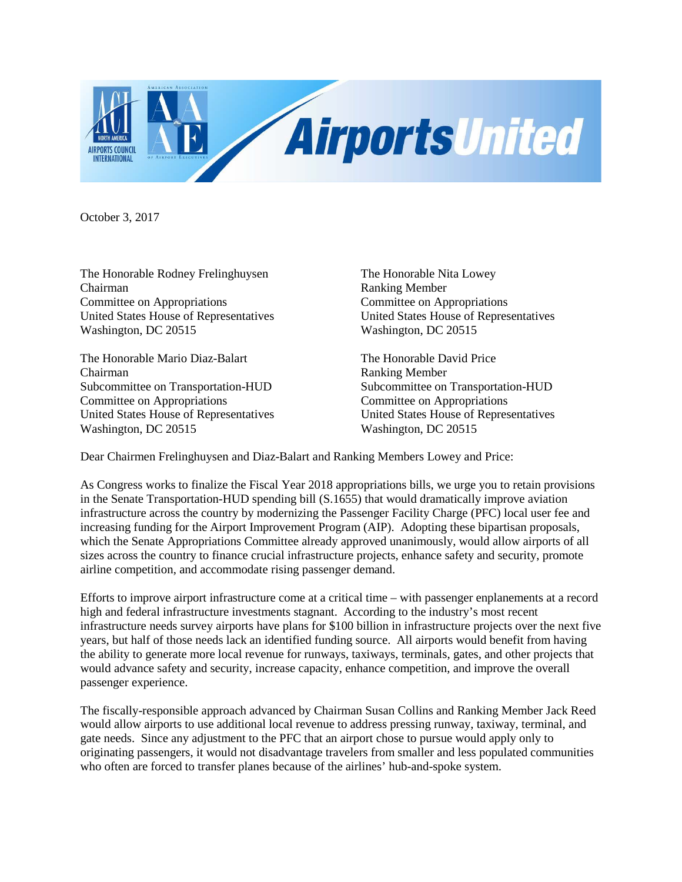

October 3, 2017

The Honorable Rodney Frelinghuysen The Honorable Nita Lowey Chairman Ranking Member Committee on Appropriations Committee on Appropriations United States House of Representatives United States House of Representatives Washington, DC 20515 Washington, DC 20515

The Honorable Mario Diaz-Balart The Honorable David Price Chairman<br>Subcommittee on Transportation-HUD<br>Subcommittee on Transportation-HUD<br>Subcommittee on Transportation-HUD Subcommittee on Transportation-HUD Committee on Appropriations Committee on Appropriations United States House of Representatives United States House of Representatives Washington, DC 20515 Washington, DC 20515

Dear Chairmen Frelinghuysen and Diaz-Balart and Ranking Members Lowey and Price:

As Congress works to finalize the Fiscal Year 2018 appropriations bills, we urge you to retain provisions in the Senate Transportation-HUD spending bill (S.1655) that would dramatically improve aviation infrastructure across the country by modernizing the Passenger Facility Charge (PFC) local user fee and increasing funding for the Airport Improvement Program (AIP). Adopting these bipartisan proposals, which the Senate Appropriations Committee already approved unanimously, would allow airports of all sizes across the country to finance crucial infrastructure projects, enhance safety and security, promote airline competition, and accommodate rising passenger demand.

Efforts to improve airport infrastructure come at a critical time – with passenger enplanements at a record high and federal infrastructure investments stagnant. According to the industry's most recent infrastructure needs survey airports have plans for \$100 billion in infrastructure projects over the next five years, but half of those needs lack an identified funding source. All airports would benefit from having the ability to generate more local revenue for runways, taxiways, terminals, gates, and other projects that would advance safety and security, increase capacity, enhance competition, and improve the overall passenger experience.

The fiscally-responsible approach advanced by Chairman Susan Collins and Ranking Member Jack Reed would allow airports to use additional local revenue to address pressing runway, taxiway, terminal, and gate needs. Since any adjustment to the PFC that an airport chose to pursue would apply only to originating passengers, it would not disadvantage travelers from smaller and less populated communities who often are forced to transfer planes because of the airlines' hub-and-spoke system.